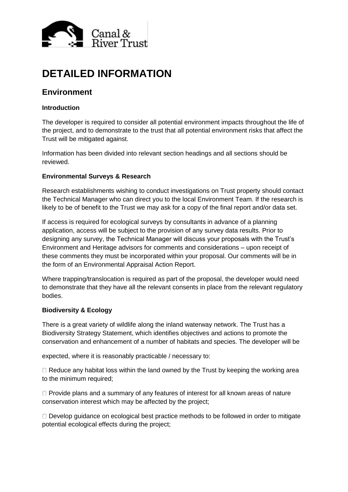

# **DETAILED INFORMATION**

# **Environment**

# **Introduction**

The developer is required to consider all potential environment impacts throughout the life of the project, and to demonstrate to the trust that all potential environment risks that affect the Trust will be mitigated against.

Information has been divided into relevant section headings and all sections should be reviewed.

# **Environmental Surveys & Research**

Research establishments wishing to conduct investigations on Trust property should contact the Technical Manager who can direct you to the local Environment Team. If the research is likely to be of benefit to the Trust we may ask for a copy of the final report and/or data set.

If access is required for ecological surveys by consultants in advance of a planning application, access will be subject to the provision of any survey data results. Prior to designing any survey, the Technical Manager will discuss your proposals with the Trust's Environment and Heritage advisors for comments and considerations – upon receipt of these comments they must be incorporated within your proposal. Our comments will be in the form of an Environmental Appraisal Action Report.

Where trapping/translocation is required as part of the proposal, the developer would need to demonstrate that they have all the relevant consents in place from the relevant regulatory bodies.

#### **Biodiversity & Ecology**

There is a great variety of wildlife along the inland waterway network. The Trust has a Biodiversity Strategy Statement, which identifies objectives and actions to promote the conservation and enhancement of a number of habitats and species. The developer will be

expected, where it is reasonably practicable / necessary to:

 $\Box$  Reduce any habitat loss within the land owned by the Trust by keeping the working area to the minimum required;

 $\Box$  Provide plans and a summary of any features of interest for all known areas of nature conservation interest which may be affected by the project;

 $\Box$  Develop guidance on ecological best practice methods to be followed in order to mitigate potential ecological effects during the project;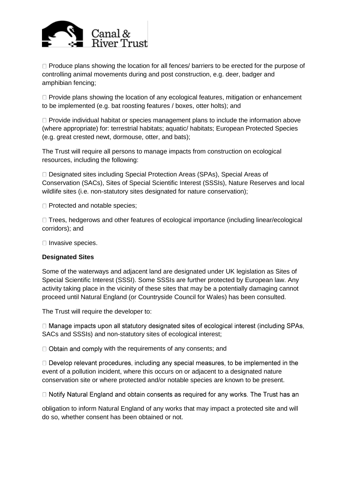

 $\Box$  Produce plans showing the location for all fences/ barriers to be erected for the purpose of controlling animal movements during and post construction, e.g. deer, badger and amphibian fencing;

 $\Box$  Provide plans showing the location of any ecological features, mitigation or enhancement to be implemented (e.g. bat roosting features / boxes, otter holts); and

 $\Box$  Provide individual habitat or species management plans to include the information above (where appropriate) for: terrestrial habitats; aquatic/ habitats; European Protected Species (e.g. great crested newt, dormouse, otter, and bats);

The Trust will require all persons to manage impacts from construction on ecological resources, including the following:

□ Designated sites including Special Protection Areas (SPAs), Special Areas of Conservation (SACs), Sites of Special Scientific Interest (SSSIs), Nature Reserves and local wildlife sites (i.e. non-statutory sites designated for nature conservation);

 $\Box$  Protected and notable species;

□ Trees, hedgerows and other features of ecological importance (including linear/ecological corridors); and

 $\Box$  Invasive species.

#### **Designated Sites**

Some of the waterways and adjacent land are designated under UK legislation as Sites of Special Scientific Interest (SSSI). Some SSSIs are further protected by European law. Any activity taking place in the vicinity of these sites that may be a potentially damaging cannot proceed until Natural England (or Countryside Council for Wales) has been consulted.

The Trust will require the developer to:

 $\Box$  Manage impacts upon all statutory designated sites of ecological interest (including SPAs, SACs and SSSIs) and non-statutory sites of ecological interest;

 $\Box$  Obtain and comply with the requirements of any consents; and

 $\Box$  Develop relevant procedures, including any special measures, to be implemented in the event of a pollution incident, where this occurs on or adjacent to a designated nature conservation site or where protected and/or notable species are known to be present.

□ Notify Natural England and obtain consents as required for any works. The Trust has an

obligation to inform Natural England of any works that may impact a protected site and will do so, whether consent has been obtained or not.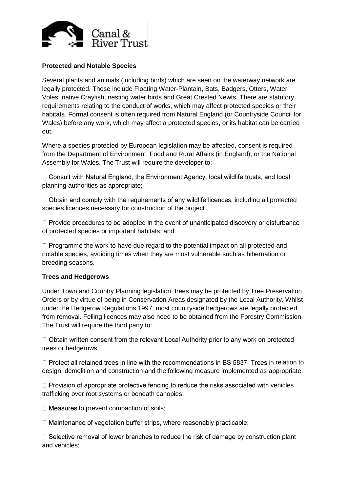

# **Protected and Notable Species**

Several plants and animals (including birds) which are seen on the waterway network are legally protected. These include Floating Water-Plantain, Bats, Badgers, Otters, Water Voles, native Crayfish, nesting water birds and Great Crested Newts. There are statutory requirements relating to the conduct of works, which may affect protected species or their habitats. Formal consent is often required from Natural England (or Countryside Council for Wales) before any work, which may affect a protected species, or its habitat can be carried out.

Where a species protected by European legislation may be affected, consent is required from the Department of Environment, Food and Rural Affairs (in England), or the National Assembly for Wales. The Trust will require the developer to:

□ Consult with Natural England, the Environment Agency, local wildlife trusts, and local planning authorities as appropriate;

 $\Box$  Obtain and comply with the requirements of any wildlife licences, including all protected species licences necessary for construction of the project

 $\Box$  Provide procedures to be adopted in the event of unanticipated discovery or disturbance of protected species or important habitats; and

 $\Box$  Programme the work to have due regard to the potential impact on all protected and notable species, avoiding times when they are most vulnerable such as hibernation or breeding seasons.

#### **Trees and Hedgerows**

Under Town and Country Planning legislation, trees may be protected by Tree Preservation Orders or by virtue of being in Conservation Areas designated by the Local Authority. Whilst under the Hedgerow Regulations 1997, most countryside hedgerows are legally protected from removal. Felling licences may also need to be obtained from the Forestry Commission. The Trust will require the third party to:

 $\Box$  Obtain written consent from the relevant Local Authority prior to any work on protected trees or hedgerows;

 $\Box$  Protect all retained trees in line with the recommendations in BS 5837. Trees in relation to design, demolition and construction and the following measure implemented as appropriate:

 $\Box$  Provision of appropriate protective fencing to reduce the risks associated with vehicles trafficking over root systems or beneath canopies;

 $\Box$  Measures to prevent compaction of soils;

 $\Box$  Maintenance of vegetation buffer strips, where reasonably practicable;

 $\Box$  Selective removal of lower branches to reduce the risk of damage by construction plant and vehicles;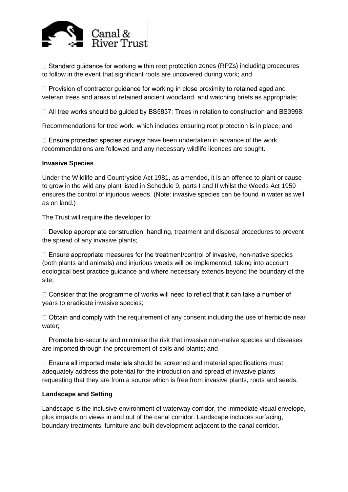

 $\Box$  Standard guidance for working within root protection zones (RPZs) including procedures to follow in the event that significant roots are uncovered during work; and

 $\Box$  Provision of contractor guidance for working in close proximity to retained aged and veteran trees and areas of retained ancient woodland, and watching briefs as appropriate;

□ All tree works should be guided by BS5837: Trees in relation to construction and BS3998:

Recommendations for tree work, which includes ensuring root protection is in place; and

 $\Box$  Ensure protected species surveys have been undertaken in advance of the work, recommendations are followed and any necessary wildlife licences are sought.

#### **Invasive Species**

Under the Wildlife and Countryside Act 1981, as amended, it is an offence to plant or cause to grow in the wild any plant listed in Schedule 9, parts I and II whilst the Weeds Act 1959 ensures the control of injurious weeds. (Note: invasive species can be found in water as well as on land.)

The Trust will require the developer to:

 $\Box$  Develop appropriate construction, handling, treatment and disposal procedures to prevent the spread of any invasive plants;

 $\Box$  Ensure appropriate measures for the treatment/control of invasive, non-native species (both plants and animals) and injurious weeds will be implemented, taking into account ecological best practice guidance and where necessary extends beyond the boundary of the site;

 $\Box$  Consider that the programme of works will need to reflect that it can take a number of years to eradicate invasive species;

 $\Box$  Obtain and comply with the requirement of any consent including the use of herbicide near water;

 $\Box$  Promote bio-security and minimise the risk that invasive non-native species and diseases are imported through the procurement of soils and plants; and

 $\Box$  Ensure all imported materials should be screened and material specifications must adequately address the potential for the introduction and spread of invasive plants requesting that they are from a source which is free from invasive plants, roots and seeds.

#### **Landscape and Setting**

Landscape is the inclusive environment of waterway corridor, the immediate visual envelope, plus impacts on views in and out of the canal corridor. Landscape includes surfacing, boundary treatments, furniture and built development adjacent to the canal corridor.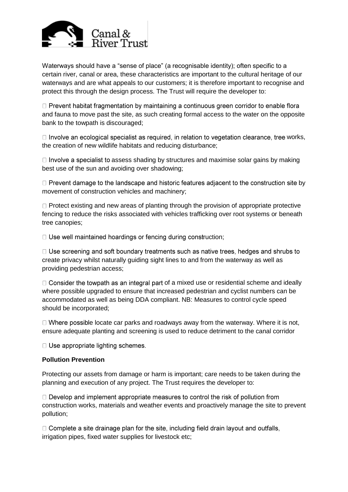

Waterways should have a "sense of place" (a recognisable identity); often specific to a certain river, canal or area, these characteristics are important to the cultural heritage of our waterways and are what appeals to our customers; it is therefore important to recognise and protect this through the design process. The Trust will require the developer to:

 $\Box$  Prevent habitat fragmentation by maintaining a continuous green corridor to enable flora and fauna to move past the site, as such creating formal access to the water on the opposite bank to the towpath is discouraged;

 $\Box$  Involve an ecological specialist as required, in relation to vegetation clearance, tree works, the creation of new wildlife habitats and reducing disturbance;

 $\Box$  Involve a specialist to assess shading by structures and maximise solar gains by making best use of the sun and avoiding over shadowing;

 $\Box$  Prevent damage to the landscape and historic features adjacent to the construction site by movement of construction vehicles and machinery;

 $\Box$  Protect existing and new areas of planting through the provision of appropriate protective fencing to reduce the risks associated with vehicles trafficking over root systems or beneath tree canopies;

 $\Box$  Use well maintained hoardings or fencing during construction;

□ Use screening and soft boundary treatments such as native trees, hedges and shrubs to create privacy whilst naturally guiding sight lines to and from the waterway as well as providing pedestrian access;

 $\Box$  Consider the towpath as an integral part of a mixed use or residential scheme and ideally where possible upgraded to ensure that increased pedestrian and cyclist numbers can be accommodated as well as being DDA compliant. NB: Measures to control cycle speed should be incorporated;

 $\Box$  Where possible locate car parks and roadways away from the waterway. Where it is not, ensure adequate planting and screening is used to reduce detriment to the canal corridor

 $\Box$  Use appropriate lighting schemes.

#### **Pollution Prevention**

Protecting our assets from damage or harm is important; care needs to be taken during the planning and execution of any project. The Trust requires the developer to:

 $\Box$  Develop and implement appropriate measures to control the risk of pollution from construction works, materials and weather events and proactively manage the site to prevent pollution;

 $\Box$  Complete a site drainage plan for the site, including field drain layout and outfalls, irrigation pipes, fixed water supplies for livestock etc;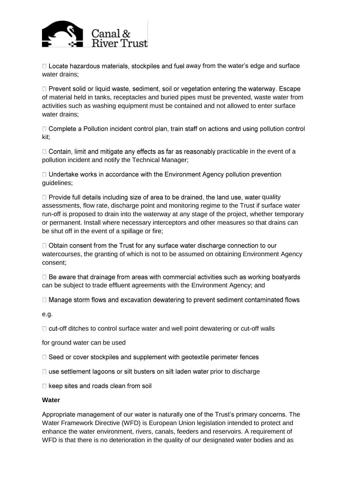

 $\Box$  Locate hazardous materials, stockpiles and fuel away from the water's edge and surface water drains;

 $\Box$  Prevent solid or liquid waste, sediment, soil or vegetation entering the waterway. Escape of material held in tanks, receptacles and buried pipes must be prevented, waste water from activities such as washing equipment must be contained and not allowed to enter surface water drains;

 $\Box$  Complete a Pollution incident control plan, train staff on actions and using pollution control kit;

 $\Box$  Contain, limit and mitigate any effects as far as reasonably practicable in the event of a pollution incident and notify the Technical Manager;

 $\Box$  Undertake works in accordance with the Environment Agency pollution prevention guidelines;

 $\Box$  Provide full details including size of area to be drained, the land use, water quality assessments, flow rate, discharge point and monitoring regime to the Trust if surface water run-off is proposed to drain into the waterway at any stage of the project, whether temporary or permanent. Install where necessary interceptors and other measures so that drains can be shut off in the event of a spillage or fire;

 $\Box$  Obtain consent from the Trust for any surface water discharge connection to our watercourses, the granting of which is not to be assumed on obtaining Environment Agency consent;

 $\Box$  Be aware that drainage from areas with commercial activities such as working boatyards can be subject to trade effluent agreements with the Environment Agency; and

 $\Box$  Manage storm flows and excavation dewatering to prevent sediment contaminated flows

e.g.

 $\Box$  cut-off ditches to control surface water and well point dewatering or cut-off walls

for ground water can be used

□ Seed or cover stockpiles and supplement with geotextile perimeter fences

 $\Box$  use settlement lagoons or silt busters on silt laden water prior to discharge

 $\Box$  keep sites and roads clean from soil

#### **Water**

Appropriate management of our water is naturally one of the Trust's primary concerns*.* The Water Framework Directive (WFD) is European Union legislation intended to protect and enhance the water environment, rivers, canals, feeders and reservoirs. A requirement of WFD is that there is no deterioration in the quality of our designated water bodies and as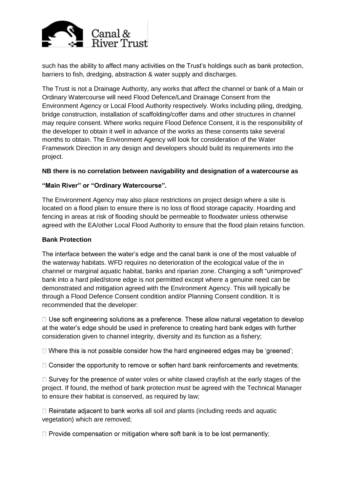

such has the ability to affect many activities on the Trust's holdings such as bank protection, barriers to fish, dredging, abstraction & water supply and discharges.

The Trust is not a Drainage Authority, any works that affect the channel or bank of a Main or Ordinary Watercourse will need Flood Defence/Land Drainage Consent from the Environment Agency or Local Flood Authority respectively. Works including piling, dredging, bridge construction, installation of scaffolding/coffer dams and other structures in channel may require consent. Where works require Flood Defence Consent, it is the responsibility of the developer to obtain it well in advance of the works as these consents take several months to obtain. The Environment Agency will look for consideration of the Water Framework Direction in any design and developers should build its requirements into the project.

# **NB there is no correlation between navigability and designation of a watercourse as**

# **"Main River" or "Ordinary Watercourse".**

The Environment Agency may also place restrictions on project design where a site is located on a flood plain to ensure there is no loss of flood storage capacity. Hoarding and fencing in areas at risk of flooding should be permeable to floodwater unless otherwise agreed with the EA/other Local Flood Authority to ensure that the flood plain retains function.

#### **Bank Protection**

The interface between the water's edge and the canal bank is one of the most valuable of the waterway habitats. WFD requires no deterioration of the ecological value of the in channel or marginal aquatic habitat, banks and riparian zone. Changing a soft "unimproved" bank into a hard piled/stone edge is not permitted except where a genuine need can be demonstrated and mitigation agreed with the Environment Agency. This will typically be through a Flood Defence Consent condition and/or Planning Consent condition. It is recommended that the developer:

 $\Box$  Use soft engineering solutions as a preference. These allow natural vegetation to develop at the water's edge should be used in preference to creating hard bank edges with further consideration given to channel integrity, diversity and its function as a fishery;

 $\Box$  Where this is not possible consider how the hard engineered edges may be 'greened';

 $\Box$  Consider the opportunity to remove or soften hard bank reinforcements and revetments;

 $\Box$  Survey for the presence of water voles or white clawed crayfish at the early stages of the project. If found, the method of bank protection must be agreed with the Technical Manager to ensure their habitat is conserved, as required by law;

 $\Box$  Reinstate adjacent to bank works all soil and plants (including reeds and aquatic vegetation) which are removed;

 $\Box$  Provide compensation or mitigation where soft bank is to be lost permanently;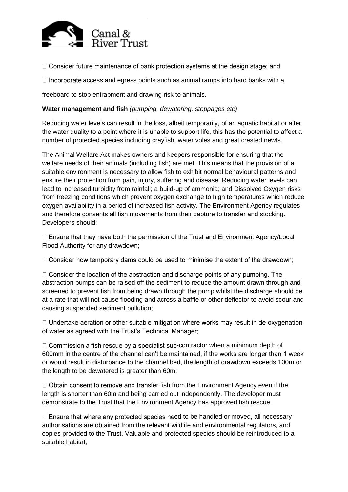

□ Consider future maintenance of bank protection systems at the design stage; and

 $\Box$  Incorporate access and egress points such as animal ramps into hard banks with a

freeboard to stop entrapment and drawing risk to animals.

# **Water management and fish** *(pumping, dewatering, stoppages etc)*

Reducing water levels can result in the loss, albeit temporarily, of an aquatic habitat or alter the water quality to a point where it is unable to support life, this has the potential to affect a number of protected species including crayfish, water voles and great crested newts.

The Animal Welfare Act makes owners and keepers responsible for ensuring that the welfare needs of their animals (including fish) are met. This means that the provision of a suitable environment is necessary to allow fish to exhibit normal behavioural patterns and ensure their protection from pain, injury, suffering and disease. Reducing water levels can lead to increased turbidity from rainfall; a build-up of ammonia; and Dissolved Oxygen risks from freezing conditions which prevent oxygen exchange to high temperatures which reduce oxygen availability in a period of increased fish activity. The Environment Agency regulates and therefore consents all fish movements from their capture to transfer and stocking. Developers should:

 $\Box$  Ensure that they have both the permission of the Trust and Environment Agency/Local Flood Authority for any drawdown;

 $\Box$  Consider how temporary dams could be used to minimise the extent of the drawdown;

 $\Box$  Consider the location of the abstraction and discharge points of any pumping. The abstraction pumps can be raised off the sediment to reduce the amount drawn through and screened to prevent fish from being drawn through the pump whilst the discharge should be at a rate that will not cause flooding and across a baffle or other deflector to avoid scour and causing suspended sediment pollution;

 $\Box$  Undertake aeration or other suitable mitigation where works may result in de-oxygenation of water as agreed with the Trust's Technical Manager;

 $\Box$  Commission a fish rescue by a specialist sub-contractor when a minimum depth of 600mm in the centre of the channel can't be maintained, if the works are longer than 1 week or would result in disturbance to the channel bed, the length of drawdown exceeds 100m or the length to be dewatered is greater than 60m;

 $\Box$  Obtain consent to remove and transfer fish from the Environment Agency even if the length is shorter than 60m and being carried out independently. The developer must demonstrate to the Trust that the Environment Agency has approved fish rescue;

 $\Box$  Ensure that where any protected species need to be handled or moved, all necessary authorisations are obtained from the relevant wildlife and environmental regulators, and copies provided to the Trust. Valuable and protected species should be reintroduced to a suitable habitat;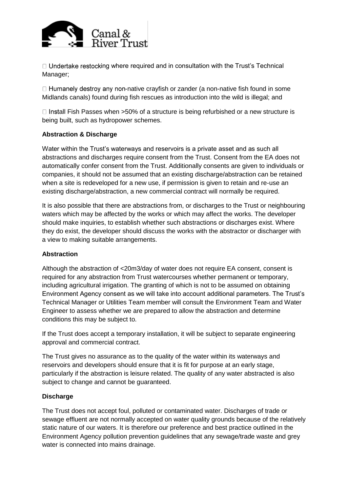

 $\Box$  Undertake restocking where required and in consultation with the Trust's Technical Manager;

 $\Box$  Humanely destroy any non-native crayfish or zander (a non-native fish found in some Midlands canals) found during fish rescues as introduction into the wild is illegal; and

 $\Box$  Install Fish Passes when >50% of a structure is being refurbished or a new structure is being built, such as hydropower schemes.

# **Abstraction & Discharge**

Water within the Trust's waterways and reservoirs is a private asset and as such all abstractions and discharges require consent from the Trust. Consent from the EA does not automatically confer consent from the Trust. Additionally consents are given to individuals or companies, it should not be assumed that an existing discharge/abstraction can be retained when a site is redeveloped for a new use, if permission is given to retain and re-use an existing discharge/abstraction, a new commercial contract will normally be required.

It is also possible that there are abstractions from, or discharges to the Trust or neighbouring waters which may be affected by the works or which may affect the works. The developer should make inquiries, to establish whether such abstractions or discharges exist. Where they do exist, the developer should discuss the works with the abstractor or discharger with a view to making suitable arrangements.

#### **Abstraction**

Although the abstraction of <20m3/day of water does not require EA consent, consent is required for any abstraction from Trust watercourses whether permanent or temporary, including agricultural irrigation. The granting of which is not to be assumed on obtaining Environment Agency consent as we will take into account additional parameters. The Trust's Technical Manager or Utilities Team member will consult the Environment Team and Water Engineer to assess whether we are prepared to allow the abstraction and determine conditions this may be subject to.

If the Trust does accept a temporary installation, it will be subject to separate engineering approval and commercial contract.

The Trust gives no assurance as to the quality of the water within its waterways and reservoirs and developers should ensure that it is fit for purpose at an early stage, particularly if the abstraction is leisure related. The quality of any water abstracted is also subject to change and cannot be quaranteed.

#### **Discharge**

The Trust does not accept foul, polluted or contaminated water. Discharges of trade or sewage effluent are not normally accepted on water quality grounds because of the relatively static nature of our waters. It is therefore our preference and best practice outlined in the Environment Agency pollution prevention guidelines that any sewage/trade waste and grey water is connected into mains drainage.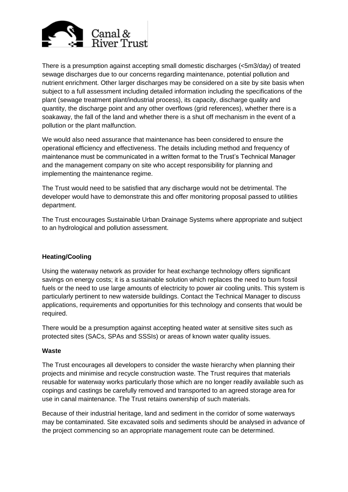

There is a presumption against accepting small domestic discharges (<5m3/day) of treated sewage discharges due to our concerns regarding maintenance, potential pollution and nutrient enrichment. Other larger discharges may be considered on a site by site basis when subject to a full assessment including detailed information including the specifications of the plant (sewage treatment plant/industrial process), its capacity, discharge quality and quantity, the discharge point and any other overflows (grid references), whether there is a soakaway, the fall of the land and whether there is a shut off mechanism in the event of a pollution or the plant malfunction.

We would also need assurance that maintenance has been considered to ensure the operational efficiency and effectiveness. The details including method and frequency of maintenance must be communicated in a written format to the Trust's Technical Manager and the management company on site who accept responsibility for planning and implementing the maintenance regime.

The Trust would need to be satisfied that any discharge would not be detrimental. The developer would have to demonstrate this and offer monitoring proposal passed to utilities department.

The Trust encourages Sustainable Urban Drainage Systems where appropriate and subject to an hydrological and pollution assessment.

# **Heating/Cooling**

Using the waterway network as provider for heat exchange technology offers significant savings on energy costs; it is a sustainable solution which replaces the need to burn fossil fuels or the need to use large amounts of electricity to power air cooling units. This system is particularly pertinent to new waterside buildings. Contact the Technical Manager to discuss applications, requirements and opportunities for this technology and consents that would be required.

There would be a presumption against accepting heated water at sensitive sites such as protected sites (SACs, SPAs and SSSIs) or areas of known water quality issues.

#### **Waste**

The Trust encourages all developers to consider the waste hierarchy when planning their projects and minimise and recycle construction waste. The Trust requires that materials reusable for waterway works particularly those which are no longer readily available such as copings and castings be carefully removed and transported to an agreed storage area for use in canal maintenance. The Trust retains ownership of such materials.

Because of their industrial heritage, land and sediment in the corridor of some waterways may be contaminated. Site excavated soils and sediments should be analysed in advance of the project commencing so an appropriate management route can be determined.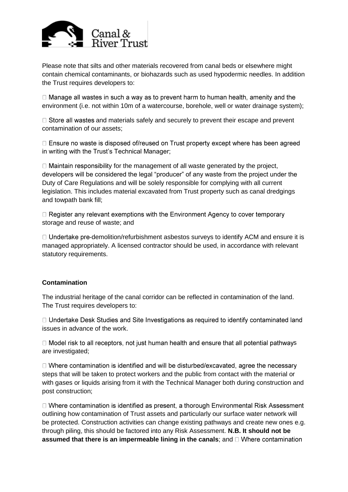

Please note that silts and other materials recovered from canal beds or elsewhere might contain chemical contaminants, or biohazards such as used hypodermic needles. In addition the Trust requires developers to:

 $\Box$  Manage all wastes in such a way as to prevent harm to human health, amenity and the environment (i.e. not within 10m of a watercourse, borehole, well or water drainage system);

 $\Box$  Store all wastes and materials safely and securely to prevent their escape and prevent contamination of our assets;

□ Ensure no waste is disposed of/reused on Trust property except where has been agreed in writing with the Trust's Technical Manager;

 $\Box$  Maintain responsibility for the management of all waste generated by the project, developers will be considered the legal "producer" of any waste from the project under the Duty of Care Regulations and will be solely responsible for complying with all current legislation. This includes material excavated from Trust property such as canal dredgings and towpath bank fill;

 $\Box$  Register any relevant exemptions with the Environment Agency to cover temporary storage and reuse of waste; and

 $\Box$  Undertake pre-demolition/refurbishment asbestos surveys to identify ACM and ensure it is managed appropriately. A licensed contractor should be used, in accordance with relevant statutory requirements.

# **Contamination**

The industrial heritage of the canal corridor can be reflected in contamination of the land. The Trust requires developers to:

□ Undertake Desk Studies and Site Investigations as required to identify contaminated land issues in advance of the work.

□ Model risk to all receptors, not just human health and ensure that all potential pathways are investigated;

 $\Box$  Where contamination is identified and will be disturbed/excavated, agree the necessary steps that will be taken to protect workers and the public from contact with the material or with gases or liquids arising from it with the Technical Manager both during construction and post construction;

□ Where contamination is identified as present, a thorough Environmental Risk Assessment outlining how contamination of Trust assets and particularly our surface water network will be protected. Construction activities can change existing pathways and create new ones e.g. through piling, this should be factored into any Risk Assessment. **N.B. It should not be assumed that there is an impermeable lining in the canals**; and  $\Box$  Where contamination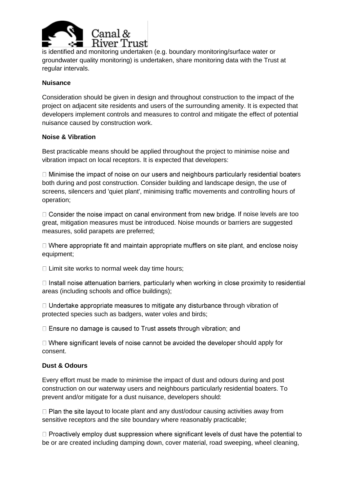

is identified and monitoring undertaken (e.g. boundary monitoring/surface water or groundwater quality monitoring) is undertaken, share monitoring data with the Trust at regular intervals.

# **Nuisance**

Consideration should be given in design and throughout construction to the impact of the project on adjacent site residents and users of the surrounding amenity. It is expected that developers implement controls and measures to control and mitigate the effect of potential nuisance caused by construction work.

#### **Noise & Vibration**

Best practicable means should be applied throughout the project to minimise noise and vibration impact on local receptors. It is expected that developers:

 $\Box$  Minimise the impact of noise on our users and neighbours particularly residential boaters both during and post construction. Consider building and landscape design, the use of screens, silencers and 'quiet plant', minimising traffic movements and controlling hours of operation;

 $\Box$  Consider the noise impact on canal environment from new bridge. If noise levels are too great, mitigation measures must be introduced. Noise mounds or barriers are suggested measures, solid parapets are preferred;

 $\Box$  Where appropriate fit and maintain appropriate mufflers on site plant, and enclose noisy equipment;

 $\Box$  Limit site works to normal week day time hours;

 $\Box$  Install noise attenuation barriers, particularly when working in close proximity to residential areas (including schools and office buildings);

 $\Box$  Undertake appropriate measures to mitigate any disturbance through vibration of protected species such as badgers, water voles and birds;

 $\Box$  Ensure no damage is caused to Trust assets through vibration; and

 $\Box$  Where significant levels of noise cannot be avoided the developer should apply for consent.

#### **Dust & Odours**

Every effort must be made to minimise the impact of dust and odours during and post construction on our waterway users and neighbours particularly residential boaters. To prevent and/or mitigate for a dust nuisance, developers should:

 $\Box$  Plan the site layout to locate plant and any dust/odour causing activities away from sensitive receptors and the site boundary where reasonably practicable;

 $\Box$  Proactively employ dust suppression where significant levels of dust have the potential to be or are created including damping down, cover material, road sweeping, wheel cleaning,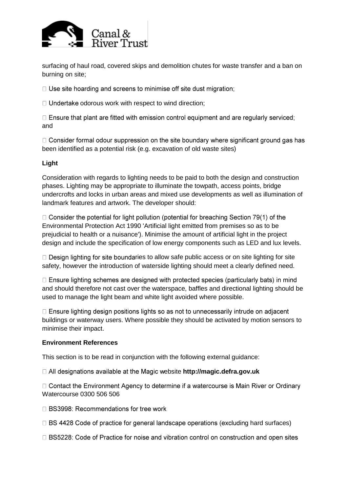

surfacing of haul road, covered skips and demolition chutes for waste transfer and a ban on burning on site;

 $\Box$  Use site hoarding and screens to minimise off site dust migration;

 $\Box$  Undertake odorous work with respect to wind direction;

 $\Box$  Ensure that plant are fitted with emission control equipment and are regularly serviced; and

 $\Box$  Consider formal odour suppression on the site boundary where significant ground gas has been identified as a potential risk (e.g. excavation of old waste sites)

# **Light**

Consideration with regards to lighting needs to be paid to both the design and construction phases. Lighting may be appropriate to illuminate the towpath, access points, bridge undercrofts and locks in urban areas and mixed use developments as well as illumination of landmark features and artwork. The developer should:

 $\Box$  Consider the potential for light pollution (potential for breaching Section 79(1) of the Environmental Protection Act 1990 'Artificial light emitted from premises so as to be prejudicial to health or a nuisance'). Minimise the amount of artificial light in the project design and include the specification of low energy components such as LED and lux levels.

 $\Box$  Design lighting for site boundaries to allow safe public access or on site lighting for site safety, however the introduction of waterside lighting should meet a clearly defined need.

 $\Box$  Ensure lighting schemes are designed with protected species (particularly bats) in mind and should therefore not cast over the waterspace, baffles and directional lighting should be used to manage the light beam and white light avoided where possible.

□ Ensure lighting design positions lights so as not to unnecessarily intrude on adjacent buildings or waterway users. Where possible they should be activated by motion sensors to minimise their impact.

#### **Environment References**

This section is to be read in conjunction with the following external guidance:

□ All designations available at the Magic website http://magic.defra.gov.uk

□ Contact the Environment Agency to determine if a watercourse is Main River or Ordinary Watercourse 0300 506 506

 $\Box$  BS3998: Recommendations for tree work

 $\Box$  BS 4428 Code of practice for general landscape operations (excluding hard surfaces)

□ BS5228: Code of Practice for noise and vibration control on construction and open sites